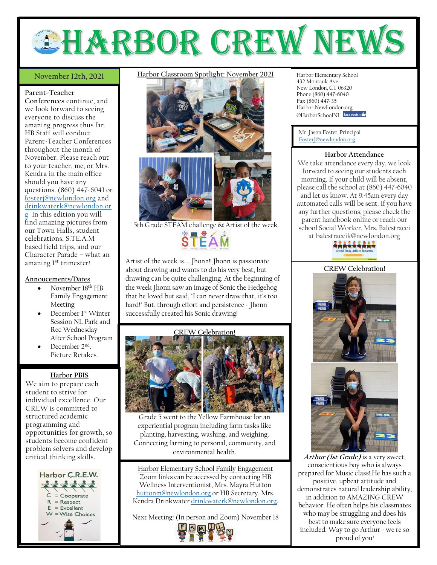# **EHARBOR CREW NEW**

### November 12th, 2021

**Parent-Teacher Conferences** continue, and we look forward to seeing everyone to discuss the amazing progress thus far. HB Staff will conduct Parent-Teacher Conferences throughout the month of November. Please reach out to your teacher, me, or Mrs. Kendra in the main office should you have any questions. (860) 447-6041 or [fosterj@newlondon.org](mailto:fosterj@newlondon.org) and [drinkwaterk@newlondon.or](mailto:drinkwaterk@newlondon.org) [g](mailto:drinkwaterk@newlondon.org) In this edition you will find amazing pictures from our Town Halls, student celebrations, S.TE.A.M based field trips, and our Character Parade – what an amazing l<sup>st</sup> trimester!

#### **Annoucements/Dates**

- November 18th HB Family Engagement Meeting
- December 1st Winter Session NL Park and Rec Wednesday After School Program
- December 2<sup>nd</sup>. Picture Retakes.

#### **Harbor PBIS**

We aim to prepare each student to strive for individual excellence. Our CREW is committed to structured academic programming and opportunities for growth, so students become confident problem solvers and develop critical thinking skills.



## **November 12th, 2021** Harbor Classroom Spotlight: November 2021 Harbor Elementary School



5th Grade STEAM challenge  $\propto$  Artist of the week Artist of the week is.... Jhonn!! Jhonn is passionate

about drawing and wants to do his very best, but drawing can be quite challenging. At the beginning of the week Jhonn saw an image of Sonic the Hedgehog that he loved but said, "I can never draw that, it's too hard!" But, through effort and persistence - Jhonn successfully created his Sonic drawing!

#### **CREW Celebration!**



Grade 5 went to the Yellow Farmhouse for an experiential program including farm tasks like planting, harvesting, washing, and weighing. Connecting farming to personal, community, and environmental health.

Harbor Elementary School Family Engagement Zoom links can be accessed by contacting HB Wellness Interventionist, Mrs. Mayra Hutton [huttonm@newlondon.org](mailto:huttonm@newlondon.org) or HB Secretary, Mrs. Kendra Drinkwate[r drinkwaterk@newlondon.org.](mailto:drinkwaterk@newlondon.org)

Next Meeting: (In person and Zoom) November 18



432 Montauk Ave. New London, CT 06320 Phone (860) 447-6040 Fax (860) 447-35 Harbor.NewLondon.org @HarborSchoolNL facebook

Mr. Jason Foster, Principal [FosterJ@newlondon.org](mailto:FosterJ@newlondon.org)

### **Harbor Attendance**

We take attendance every day, we look forward to seeing our students each morning. If your child will be absent, please call the school at (860) 447-6040 and let us know. At 9:45am every day automated calls will be sent. If you have any further questions, please check the parent handbook online or reach our school Social Worker, Mrs. Balestracci at balestraccik@newlondon.org





**Arthur (1st Grade)** is a very sweet, conscientious boy who is always prepared for Music class! He has such a positive, upbeat attitude and demonstrates natural leadership ability, in addition to AMAZING CREW behavior. He often helps his classmates who may be struggling and does his best to make sure everyone feels included. Way to go Arthur - we're so proud of you!